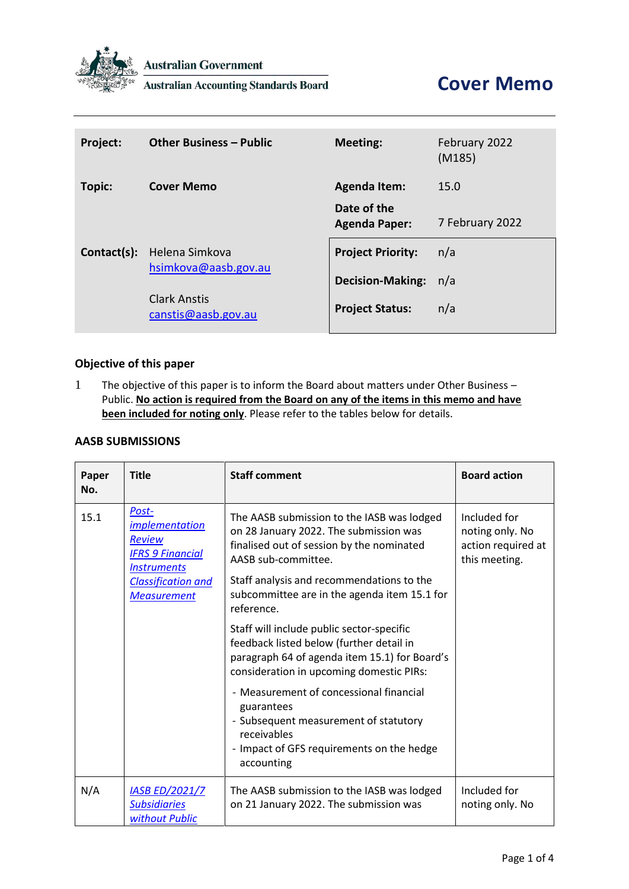

**Australian Government** 

**Australian Accounting Standards Board** 

| Project:    | <b>Other Business - Public</b>                                                | <b>Meeting:</b>                     | February 2022<br>(M185) |
|-------------|-------------------------------------------------------------------------------|-------------------------------------|-------------------------|
| Topic:      | <b>Cover Memo</b>                                                             | <b>Agenda Item:</b>                 | 15.0                    |
|             |                                                                               | Date of the<br><b>Agenda Paper:</b> | 7 February 2022         |
| Contact(s): | Helena Simkova<br>hsimkova@aasb.gov.au<br>Clark Anstis<br>canstis@aasb.gov.au | <b>Project Priority:</b>            | n/a                     |
|             |                                                                               | <b>Decision-Making:</b>             | n/a                     |
|             |                                                                               | <b>Project Status:</b>              | n/a                     |

# **Objective of this paper**

1 The objective of this paper is to inform the Board about matters under Other Business – Public. **No action is required from the Board on any of the items in this memo and have been included for noting only**. Please refer to the tables below for details.

#### **AASB SUBMISSIONS**

| Paper<br>No. | <b>Title</b>                                                                                                                                        | <b>Staff comment</b>                                                                                                                                                                                                                                                | <b>Board action</b>                                                    |
|--------------|-----------------------------------------------------------------------------------------------------------------------------------------------------|---------------------------------------------------------------------------------------------------------------------------------------------------------------------------------------------------------------------------------------------------------------------|------------------------------------------------------------------------|
| 15.1         | Post-<br><i>implementation</i><br><b>Review</b><br><b>IFRS 9 Financial</b><br><b>Instruments</b><br><b>Classification and</b><br><b>Measurement</b> | The AASB submission to the IASB was lodged<br>on 28 January 2022. The submission was<br>finalised out of session by the nominated<br>AASB sub-committee.<br>Staff analysis and recommendations to the<br>subcommittee are in the agenda item 15.1 for<br>reference. | Included for<br>noting only. No<br>action required at<br>this meeting. |
|              |                                                                                                                                                     | Staff will include public sector-specific<br>feedback listed below (further detail in<br>paragraph 64 of agenda item 15.1) for Board's<br>consideration in upcoming domestic PIRs:                                                                                  |                                                                        |
|              |                                                                                                                                                     | - Measurement of concessional financial<br>guarantees<br>- Subsequent measurement of statutory<br>receivables<br>- Impact of GFS requirements on the hedge<br>accounting                                                                                            |                                                                        |
| N/A          | <b>IASB ED/2021/7</b><br><b>Subsidiaries</b><br>without Public                                                                                      | The AASB submission to the IASB was lodged<br>on 21 January 2022. The submission was                                                                                                                                                                                | Included for<br>noting only. No                                        |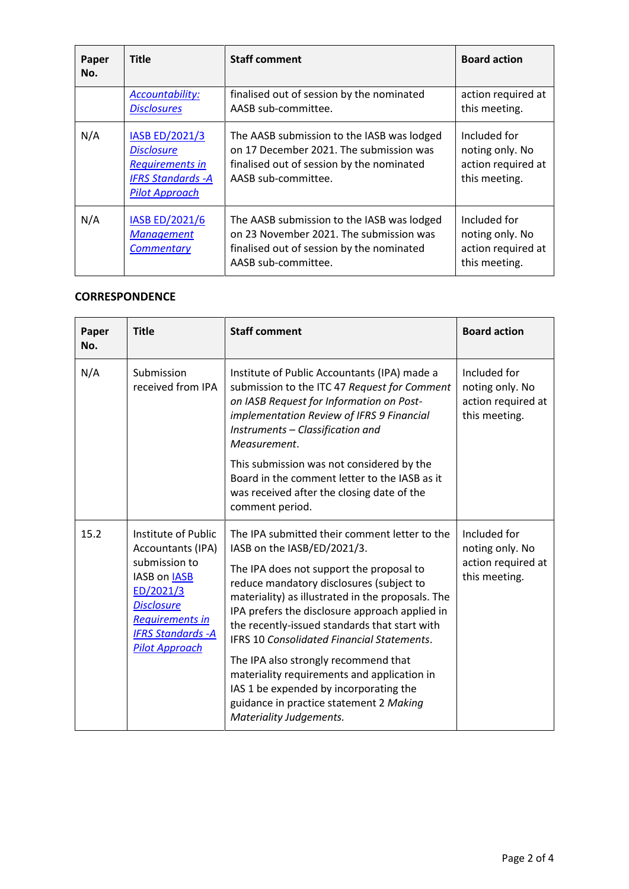| Paper<br>No. | <b>Title</b>                                                                                                        | <b>Staff comment</b>                                                                                                                                      | <b>Board action</b>                                                    |
|--------------|---------------------------------------------------------------------------------------------------------------------|-----------------------------------------------------------------------------------------------------------------------------------------------------------|------------------------------------------------------------------------|
|              | <b>Accountability:</b><br><b>Disclosures</b>                                                                        | finalised out of session by the nominated<br>AASB sub-committee.                                                                                          | action required at<br>this meeting.                                    |
| N/A          | IASB ED/2021/3<br><b>Disclosure</b><br><b>Requirements in</b><br><b>IFRS Standards - A</b><br><b>Pilot Approach</b> | The AASB submission to the IASB was lodged<br>on 17 December 2021. The submission was<br>finalised out of session by the nominated<br>AASB sub-committee. | Included for<br>noting only. No<br>action required at<br>this meeting. |
| N/A          | IASB ED/2021/6<br><b>Management</b><br><b>Commentary</b>                                                            | The AASB submission to the IASB was lodged<br>on 23 November 2021. The submission was<br>finalised out of session by the nominated<br>AASB sub-committee. | Included for<br>noting only. No<br>action required at<br>this meeting. |

## **CORRESPONDENCE**

| Paper<br>No. | <b>Title</b>                                                                                                                                                                                | <b>Staff comment</b>                                                                                                                                                                                                                                                                                                                                                                                                      | <b>Board action</b>                                                    |
|--------------|---------------------------------------------------------------------------------------------------------------------------------------------------------------------------------------------|---------------------------------------------------------------------------------------------------------------------------------------------------------------------------------------------------------------------------------------------------------------------------------------------------------------------------------------------------------------------------------------------------------------------------|------------------------------------------------------------------------|
| N/A          | Submission<br>received from IPA                                                                                                                                                             | Institute of Public Accountants (IPA) made a<br>submission to the ITC 47 Request for Comment<br>on IASB Request for Information on Post-<br>implementation Review of IFRS 9 Financial<br>Instruments - Classification and<br>Measurement.                                                                                                                                                                                 | Included for<br>noting only. No<br>action required at<br>this meeting. |
|              |                                                                                                                                                                                             | This submission was not considered by the<br>Board in the comment letter to the IASB as it<br>was received after the closing date of the<br>comment period.                                                                                                                                                                                                                                                               |                                                                        |
| 15.2         | Institute of Public<br>Accountants (IPA)<br>submission to<br>IASB on IASB<br>ED/2021/3<br><b>Disclosure</b><br><b>Requirements in</b><br><b>IFRS Standards - A</b><br><b>Pilot Approach</b> | The IPA submitted their comment letter to the<br>IASB on the IASB/ED/2021/3.<br>The IPA does not support the proposal to<br>reduce mandatory disclosures (subject to<br>materiality) as illustrated in the proposals. The<br>IPA prefers the disclosure approach applied in<br>the recently-issued standards that start with<br><b>IFRS 10 Consolidated Financial Statements.</b><br>The IPA also strongly recommend that | Included for<br>noting only. No<br>action required at<br>this meeting. |
|              |                                                                                                                                                                                             | materiality requirements and application in<br>IAS 1 be expended by incorporating the<br>guidance in practice statement 2 Making<br>Materiality Judgements.                                                                                                                                                                                                                                                               |                                                                        |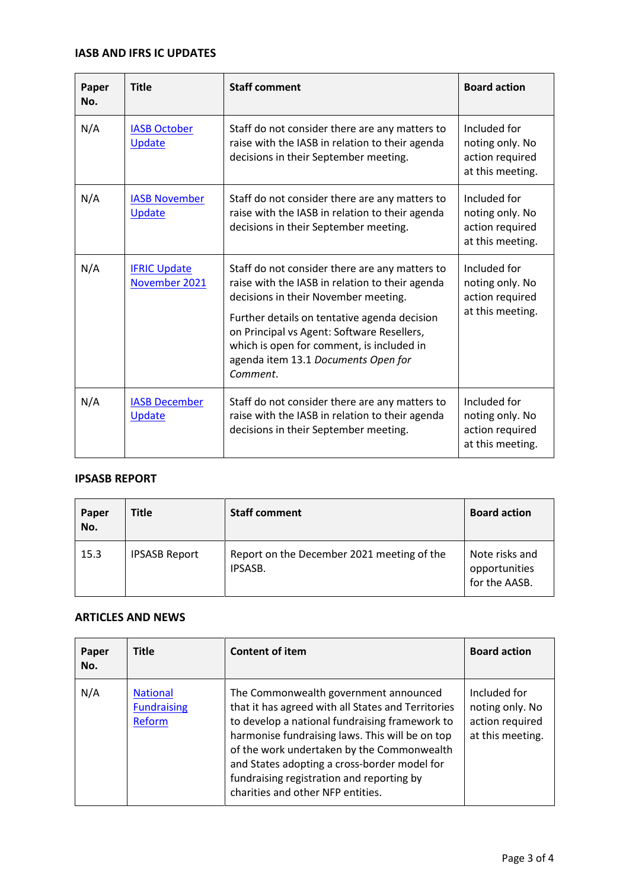# **IASB AND IFRS IC UPDATES**

| Paper<br>No. | <b>Title</b>                         | <b>Staff comment</b>                                                                                                                                                                                                                                                                                                                    | <b>Board action</b>                                                    |
|--------------|--------------------------------------|-----------------------------------------------------------------------------------------------------------------------------------------------------------------------------------------------------------------------------------------------------------------------------------------------------------------------------------------|------------------------------------------------------------------------|
| N/A          | <b>IASB October</b><br>Update        | Staff do not consider there are any matters to<br>raise with the IASB in relation to their agenda<br>decisions in their September meeting.                                                                                                                                                                                              | Included for<br>noting only. No<br>action required<br>at this meeting. |
| N/A          | <b>IASB November</b><br>Update       | Staff do not consider there are any matters to<br>raise with the IASB in relation to their agenda<br>decisions in their September meeting.                                                                                                                                                                                              | Included for<br>noting only. No<br>action required<br>at this meeting. |
| N/A          | <b>IFRIC Update</b><br>November 2021 | Staff do not consider there are any matters to<br>raise with the IASB in relation to their agenda<br>decisions in their November meeting.<br>Further details on tentative agenda decision<br>on Principal vs Agent: Software Resellers,<br>which is open for comment, is included in<br>agenda item 13.1 Documents Open for<br>Comment. | Included for<br>noting only. No<br>action required<br>at this meeting. |
| N/A          | <b>IASB December</b><br>Update       | Staff do not consider there are any matters to<br>raise with the IASB in relation to their agenda<br>decisions in their September meeting.                                                                                                                                                                                              | Included for<br>noting only. No<br>action required<br>at this meeting. |

#### **IPSASB REPORT**

| Paper<br>No. | <b>Title</b>         | <b>Staff comment</b>                                  | <b>Board action</b>                              |
|--------------|----------------------|-------------------------------------------------------|--------------------------------------------------|
| 15.3         | <b>IPSASB Report</b> | Report on the December 2021 meeting of the<br>IPSASB. | Note risks and<br>opportunities<br>for the AASB. |

## **ARTICLES AND NEWS**

| Paper<br>No. | <b>Title</b>                                    | <b>Content of item</b>                                                                                                                                                                                                                                                                                                                                                           | <b>Board action</b>                                                    |
|--------------|-------------------------------------------------|----------------------------------------------------------------------------------------------------------------------------------------------------------------------------------------------------------------------------------------------------------------------------------------------------------------------------------------------------------------------------------|------------------------------------------------------------------------|
| N/A          | <b>National</b><br><b>Fundraising</b><br>Reform | The Commonwealth government announced<br>that it has agreed with all States and Territories<br>to develop a national fundraising framework to<br>harmonise fundraising laws. This will be on top<br>of the work undertaken by the Commonwealth<br>and States adopting a cross-border model for<br>fundraising registration and reporting by<br>charities and other NFP entities. | Included for<br>noting only. No<br>action required<br>at this meeting. |